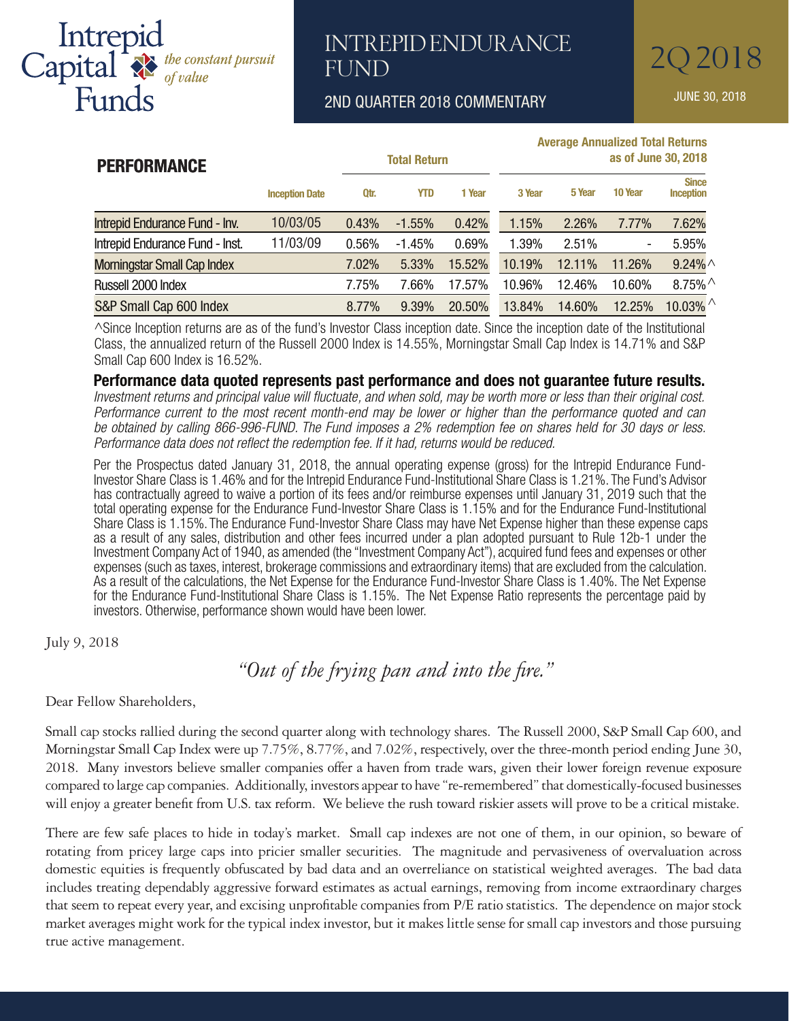# Intrepid<br>Capital & the constant pursuit<br>Funds

### INTREPID ENDURANCE 202018 **FUND**

2ND QUARTER 2018 COMMENTARY JUNE 30, 2018

|                                    |                       |                     |            |                     | <b>Average Annualized Total Returns</b> |        |                          |                                        |  |
|------------------------------------|-----------------------|---------------------|------------|---------------------|-----------------------------------------|--------|--------------------------|----------------------------------------|--|
| <b>PERFORMANCE</b>                 |                       | <b>Total Return</b> |            | as of June 30, 2018 |                                         |        |                          |                                        |  |
|                                    | <b>Inception Date</b> | Qtr.                | <b>YTD</b> | 1 Year              | 3 Year                                  | 5 Year | 10 Year                  | <b>Since</b><br><b>Inception</b>       |  |
| Intrepid Endurance Fund - Inv.     | 10/03/05              | 0.43%               | $-1.55%$   | 0.42%               | 1.15%                                   | 2.26%  | 7.77%                    | 7.62%                                  |  |
| Intrepid Endurance Fund - Inst.    | 11/03/09              | 0.56%               | $-1.45%$   | 0.69%               | 1.39%                                   | 2.51%  | $\overline{\phantom{a}}$ | 5.95%                                  |  |
| <b>Morningstar Small Cap Index</b> |                       | 7.02%               | 5.33%      | 15.52%              | 10.19%                                  | 12.11% | 11.26%                   | $9.24\%$ $\land$                       |  |
| Russell 2000 Index                 |                       | 7.75%               | 7.66%      | 17.57%              | 10.96%                                  | 12.46% | 10.60%                   | $8.75\%$ <sup><math>\land</math></sup> |  |
| S&P Small Cap 600 Index            |                       | 8.77%               | 9.39%      | 20.50%              | 13.84%                                  | 14.60% | 12.25%                   | 10.03% $^{\wedge}$                     |  |

^Since Inception returns are as of the fund's Investor Class inception date. Since the inception date of the Institutional Class, the annualized return of the Russell 2000 Index is 14.55%, Morningstar Small Cap Index is 14.71% and S&P Small Cap 600 Index is 16.52%.

**Performance data quoted represents past performance and does not guarantee future results.** *Investment returns and principal value will fluctuate, and when sold, may be worth more or less than their original cost. Performance current to the most recent month-end may be lower or higher than the performance quoted and can be obtained by calling 866-996-FUND. The Fund imposes a 2% redemption fee on shares held for 30 days or less. Performance data does not reflect the redemption fee. If it had, returns would be reduced.*

Per the Prospectus dated January 31, 2018, the annual operating expense (gross) for the Intrepid Endurance Fund-Investor Share Class is 1.46% and for the Intrepid Endurance Fund-Institutional Share Class is 1.21%. The Fund's Advisor has contractually agreed to waive a portion of its fees and/or reimburse expenses until January 31, 2019 such that the total operating expense for the Endurance Fund-Investor Share Class is 1.15% and for the Endurance Fund-Institutional Share Class is 1.15%. The Endurance Fund-Investor Share Class may have Net Expense higher than these expense caps as a result of any sales, distribution and other fees incurred under a plan adopted pursuant to Rule 12b-1 under the Investment Company Act of 1940, as amended (the "Investment Company Act"), acquired fund fees and expenses or other expenses (such as taxes, interest, brokerage commissions and extraordinary items) that are excluded from the calculation. As a result of the calculations, the Net Expense for the Endurance Fund-Investor Share Class is 1.40%. The Net Expense for the Endurance Fund-Institutional Share Class is 1.15%. The Net Expense Ratio represents the percentage paid by investors. Otherwise, performance shown would have been lower.

July 9, 2018

 *"Out of the frying pan and into the fire."* 

Dear Fellow Shareholders,

Small cap stocks rallied during the second quarter along with technology shares. The Russell 2000, S&P Small Cap 600, and Morningstar Small Cap Index were up 7.75%, 8.77%, and 7.02%, respectively, over the three-month period ending June 30, 2018. Many investors believe smaller companies offer a haven from trade wars, given their lower foreign revenue exposure compared to large cap companies. Additionally, investors appear to have "re-remembered" that domestically-focused businesses will enjoy a greater benefit from U.S. tax reform. We believe the rush toward riskier assets will prove to be a critical mistake.

There are few safe places to hide in today's market. Small cap indexes are not one of them, in our opinion, so beware of rotating from pricey large caps into pricier smaller securities. The magnitude and pervasiveness of overvaluation across domestic equities is frequently obfuscated by bad data and an overreliance on statistical weighted averages. The bad data includes treating dependably aggressive forward estimates as actual earnings, removing from income extraordinary charges that seem to repeat every year, and excising unprofitable companies from P/E ratio statistics. The dependence on major stock market averages might work for the typical index investor, but it makes little sense for small cap investors and those pursuing true active management.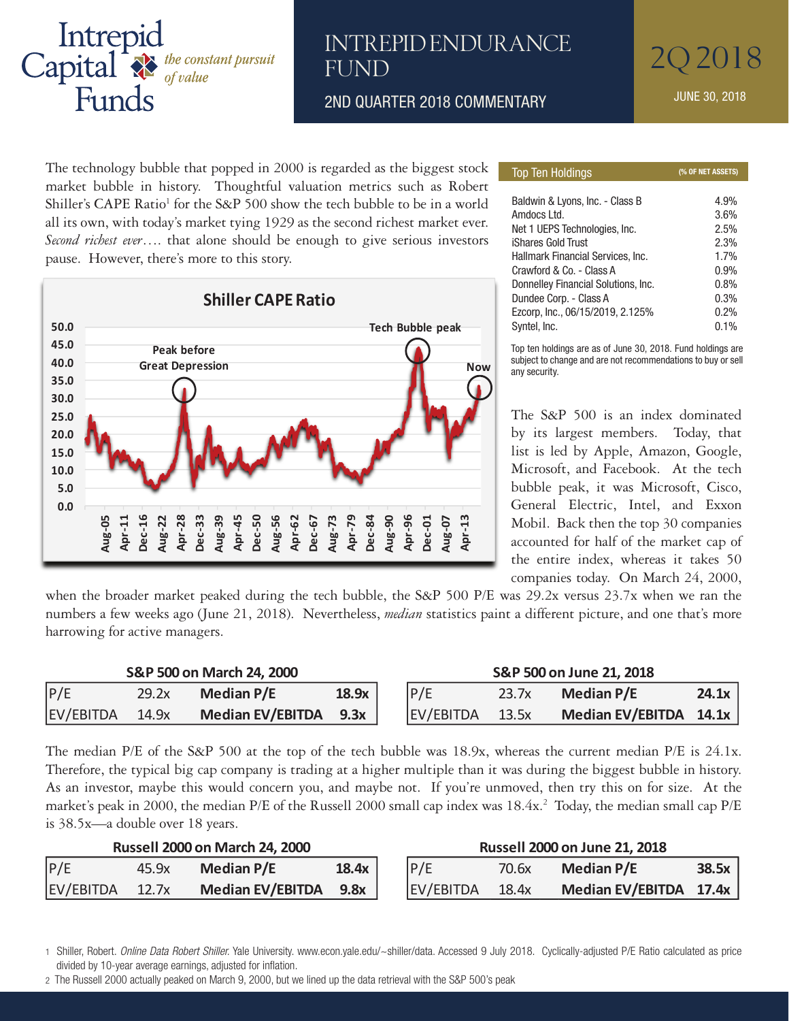

## **FUND**

The technology bubble that popped in 2000 is regarded as the biggest stock and commency, a matter that pepper an 2000 to regulated as the reggeression market bubble in history. Thoughtful valuation metrics such as Robert Shiller's CAPE Ratio<sup>1</sup> for the S&P 500 show the tech bubble to be in a world all its own, with today's market tying 1929 as the second richest market ever. Second richest ever.... that alone should be enough to give serious investors pause. However, there's more to this story.



| <b>Top Ten Holdings</b>             | (% OF NET ASSETS) |
|-------------------------------------|-------------------|
|                                     |                   |
| Baldwin & Lyons, Inc. - Class B     | 4.9%              |
| Amdocs Ltd.                         | 3.6%              |
| Net 1 UEPS Technologies, Inc.       | 2.5%              |
| iShares Gold Trust                  | 2.3%              |
| Hallmark Financial Services, Inc.   | 1.7%              |
| Crawford & Co. - Class A            | 0.9%              |
| Donnelley Financial Solutions, Inc. | 0.8%              |
| Dundee Corp. - Class A              | 0.3%              |
| Ezcorp, Inc., 06/15/2019, 2.125%    | 0.2%              |
| Syntel, Inc.                        | 0.1%              |
|                                     |                   |

Top ten holdings are as of June 30, 2018. Fund holdings are subject to change and are not recommendations to buy or sell any security.

The S&P 500 is an index dominated by its largest members. Today, that list is led by Apple, Amazon, Google, Microsoft, and Facebook. At the tech bubble peak, it was Microsoft, Cisco, General Electric, Intel, and Exxon Mobil. Back then the top 30 companies accounted for half of the market cap of the entire index, whereas it takes 50 companies today. On March 24, 2000,

when the broader market peaked during the tech bubble, the S&P 500 P/E was 29.2x versus 23.7x when we ran the numbers a few weeks ago (June 21, 2018). Nevertheless, *median* statistics paint a different picture, and one that's more harrowing for active managers. P/E 29.2x **Median P/E 18.9x** P/E 23.7x **Median P/E 24.1x** s weeks ago fune 21, 2010). Treventifiers, *meanan* statistics paint a unicient picture, and

| S&P 500 on March 24, 2000 |       |                         |       | S&P 500 on June 21, 2018 |       |                          |       |  |
|---------------------------|-------|-------------------------|-------|--------------------------|-------|--------------------------|-------|--|
| P/E                       | 29.2x | Median P/E              | 18.9x | P/E                      | 23.7x | <b>Median P/E</b>        | 24.1x |  |
| EV/EBITDA                 | 14.9x | <b>Median EV/EBITDA</b> | 9.3x  | EV/EBITDA                | 13.5x | Median EV/EBITDA $14.1x$ |       |  |

The median P/E of the S&P 500 at the top of the tech bubble was 18.9x, whereas the current median P/E is 24.1x. Therefore, the typical big cap company is trading at a higher multiple than it was during the biggest bubble in history.<br>As an investor, maybe this would concern you, and maybe not. If you're unmoved, then try this on for As an investor, maybe this would concern you, and maybe not. If you're unmoved, then try this on for size. At the market's peak in 2000, the median P/E of the Russell 2000 small cap index was 18.4x.<sup>2</sup> Today, the median small cap P/E is 38.5x—a double over 18 years. market's peak in 2000, the median P/E of the Russell 2000 small cap index was  $18.4x$ .<sup>2</sup> Today, the median small cap

| $10 \, \text{J}0.74$ a double over 10 years. |       |                       |       |                                      |       |                        |       |  |
|----------------------------------------------|-------|-----------------------|-------|--------------------------------------|-------|------------------------|-------|--|
| <b>Russell 2000 on March 24, 2000</b>        |       |                       |       | <b>Russell 2000 on June 21, 2018</b> |       |                        |       |  |
| P/E                                          | 45.9x | Median P/E            | 18.4x | P/E                                  | 70.6x | Median P/E             | 38.5x |  |
| EV/EBITDA 12.7x                              |       | Median EV/EBITDA 9.8x |       | EV/EBITDA                            | 18.4x | Median EV/EBITDA 17.4x |       |  |
|                                              |       |                       |       |                                      |       |                        |       |  |

<sup>1</sup> Shiller, Robert. *Online Data Robert Shiller.* Yale University. www.econ.yale.edu/~shiller/data. Accessed 9 July 2018. Cyclically-adjusted P/E Ratio calculated as price divided by 10-year average earnings, adjusted for inflation. divided by 10-year average earnings, adjusted for inflation.<br>2 The Russell 2000 actually peaked on March 9, 2000, but we lined up the data retrieval with the S&P 500's peak

 $\epsilon$  no nacion zood actually pounds on material, zood, but we linds up the data forford with the out-ood o pount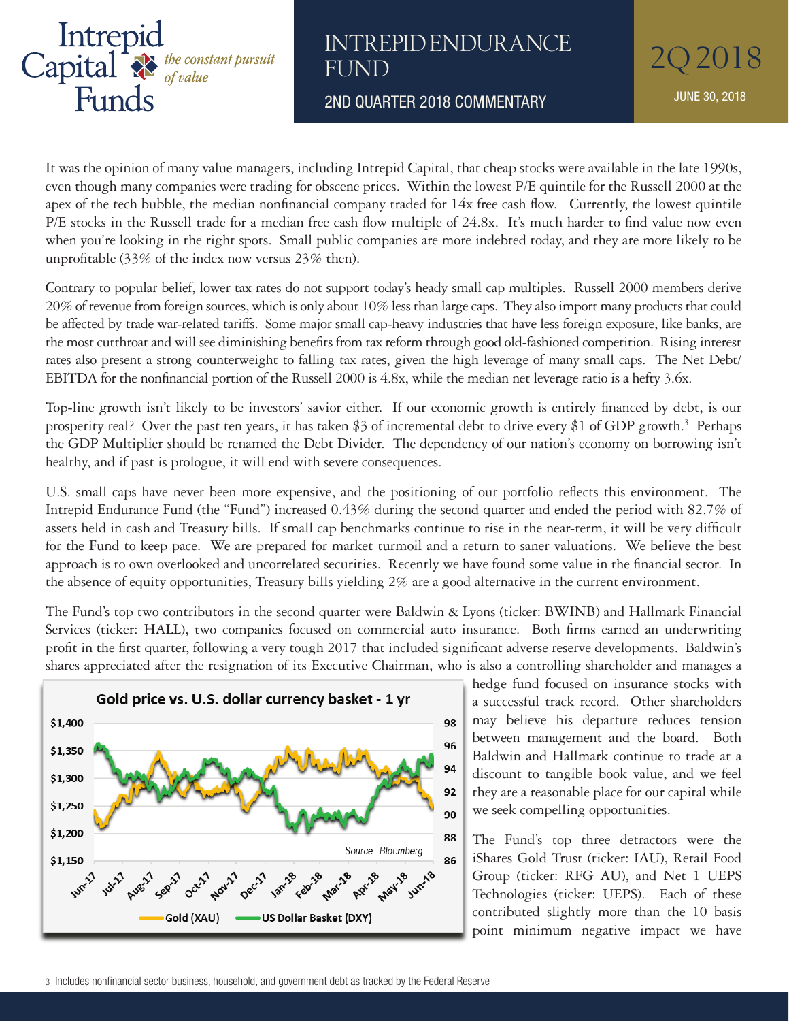

#### INTREPID ENDURANCE 202018 **FUND**

2ND QUARTER 2018 COMMENTARY JUNE 30, 2018

It was the opinion of many value managers, including Intrepid Capital, that cheap stocks were available in the late 1990s, even though many companies were trading for obscene prices. Within the lowest P/E quintile for the Russell 2000 at the apex of the tech bubble, the median nonfinancial company traded for 14x free cash flow. Currently, the lowest quintile P/E stocks in the Russell trade for a median free cash flow multiple of 24.8x. It's much harder to find value now even when you're looking in the right spots. Small public companies are more indebted today, and they are more likely to be unprofitable (33% of the index now versus 23% then).

Contrary to popular belief, lower tax rates do not support today's heady small cap multiples. Russell 2000 members derive 20% of revenue from foreign sources, which is only about 10% less than large caps. They also import many products that could be affected by trade war-related tariffs. Some major small cap-heavy industries that have less foreign exposure, like banks, are the most cutthroat and will see diminishing benefits from tax reform through good old-fashioned competition. Rising interest rates also present a strong counterweight to falling tax rates, given the high leverage of many small caps. The Net Debt/ EBITDA for the nonfinancial portion of the Russell 2000 is 4.8x, while the median net leverage ratio is a hefty 3.6x.

Top-line growth isn't likely to be investors' savior either. If our economic growth is entirely financed by debt, is our prosperity real? Over the past ten years, it has taken \$3 of incremental debt to drive every \$1 of GDP growth.<sup>3</sup> Perhaps the GDP Multiplier should be renamed the Debt Divider. The dependency of our nation's economy on borrowing isn't healthy, and if past is prologue, it will end with severe consequences.

U.S. small caps have never been more expensive, and the positioning of our portfolio reflects this environment. The Intrepid Endurance Fund (the "Fund") increased 0.43% during the second quarter and ended the period with 82.7% of assets held in cash and Treasury bills. If small cap benchmarks continue to rise in the near-term, it will be very difficult for the Fund to keep pace. We are prepared for market turmoil and a return to saner valuations. We believe the best approach is to own overlooked and uncorrelated securities. Recently we have found some value in the financial sector. In the absence of equity opportunities, Treasury bills yielding 2% are a good alternative in the current environment. 2017 that included significant adverse reserve developments. Baldwin's shares appreciated after U.S. small caps have never been more expensive, and the positioning of our portrollo reflects the

The Fund's top two contributors in the second quarter were Baldwin & Lyons (ticker: BWINB) and Hallmark Financial Services (ticker: HALL), two companies focused on commercial auto insurance. Both firms earned an underwriting profit in the first quarter, following a very tough 2017 that included significant adverse reserve developments. Baldwin's shares appreciated after the resignation of its Executive Chairman, who is also a controlling shareholder and manages a  $T$  The Fund  $\frac{1}{2}$  to the interval Trust (ticker: IAU), Retail  $T$ The Fund's top two contributors in the second quarter were Baldwin & Lyons (ticker: BWINB) and  $\epsilon$ 



hedge fund focused on insurance stocks with a successful track record. Other shareholders may believe his departure reduces tension between management and the board. Both Baldwin and Hallmark continue to trade at a discount to tangible book value, and we feel they are a reasonable place for our capital while we seek compelling opportunities. to the definition of  $\mathbf{u}$ 

The Fund's top three detractors were the iShares Gold Trust (ticker: IAU), Retail Food Group (ticker: RFG AU), and Net 1 UEPS Technologies (ticker: UEPS). Each of these contributed slightly more than the 10 basis point minimum negative impact we have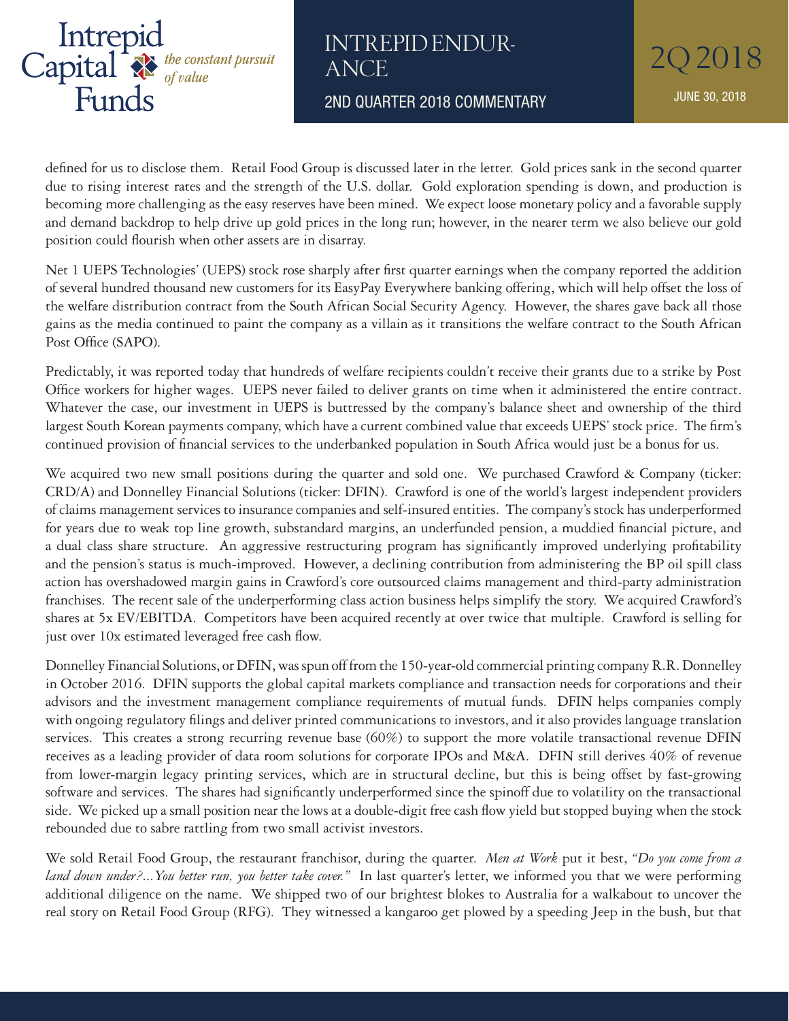

INTREPID ENDUR-202018 ANCE

2ND QUARTER 2018 COMMENTARY **The State of State 10 AUNE 30, 2018** 

defined for us to disclose them. Retail Food Group is discussed later in the letter. Gold prices sank in the second quarter due to rising interest rates and the strength of the U.S. dollar. Gold exploration spending is down, and production is becoming more challenging as the easy reserves have been mined. We expect loose monetary policy and a favorable supply and demand backdrop to help drive up gold prices in the long run; however, in the nearer term we also believe our gold position could flourish when other assets are in disarray.

Net 1 UEPS Technologies' (UEPS) stock rose sharply after first quarter earnings when the company reported the addition of several hundred thousand new customers for its EasyPay Everywhere banking offering, which will help offset the loss of the welfare distribution contract from the South African Social Security Agency. However, the shares gave back all those gains as the media continued to paint the company as a villain as it transitions the welfare contract to the South African Post Office (SAPO).

Predictably, it was reported today that hundreds of welfare recipients couldn't receive their grants due to a strike by Post Office workers for higher wages. UEPS never failed to deliver grants on time when it administered the entire contract. Whatever the case, our investment in UEPS is buttressed by the company's balance sheet and ownership of the third largest South Korean payments company, which have a current combined value that exceeds UEPS' stock price. The firm's continued provision of financial services to the underbanked population in South Africa would just be a bonus for us.

We acquired two new small positions during the quarter and sold one. We purchased Crawford & Company (ticker: CRD/A) and Donnelley Financial Solutions (ticker: DFIN). Crawford is one of the world's largest independent providers of claims management services to insurance companies and self-insured entities. The company's stock has underperformed for years due to weak top line growth, substandard margins, an underfunded pension, a muddied financial picture, and a dual class share structure. An aggressive restructuring program has significantly improved underlying profitability and the pension's status is much-improved. However, a declining contribution from administering the BP oil spill class action has overshadowed margin gains in Crawford's core outsourced claims management and third-party administration franchises. The recent sale of the underperforming class action business helps simplify the story. We acquired Crawford's shares at 5x EV/EBITDA. Competitors have been acquired recently at over twice that multiple. Crawford is selling for just over 10x estimated leveraged free cash flow.

Donnelley Financial Solutions, or DFIN, was spun off from the 150-year-old commercial printing company R.R. Donnelley in October 2016. DFIN supports the global capital markets compliance and transaction needs for corporations and their advisors and the investment management compliance requirements of mutual funds. DFIN helps companies comply with ongoing regulatory filings and deliver printed communications to investors, and it also provides language translation services. This creates a strong recurring revenue base (60%) to support the more volatile transactional revenue DFIN receives as a leading provider of data room solutions for corporate IPOs and M&A. DFIN still derives 40% of revenue from lower-margin legacy printing services, which are in structural decline, but this is being offset by fast-growing software and services. The shares had significantly underperformed since the spinoff due to volatility on the transactional side. We picked up a small position near the lows at a double-digit free cash flow yield but stopped buying when the stock rebounded due to sabre rattling from two small activist investors.

We sold Retail Food Group, the restaurant franchisor, during the quarter. *Men at Work* put it best, *"Do you come from a land down under?...You better run, you better take cover."* In last quarter's letter, we informed you that we were performing additional diligence on the name. We shipped two of our brightest blokes to Australia for a walkabout to uncover the real story on Retail Food Group (RFG). They witnessed a kangaroo get plowed by a speeding Jeep in the bush, but that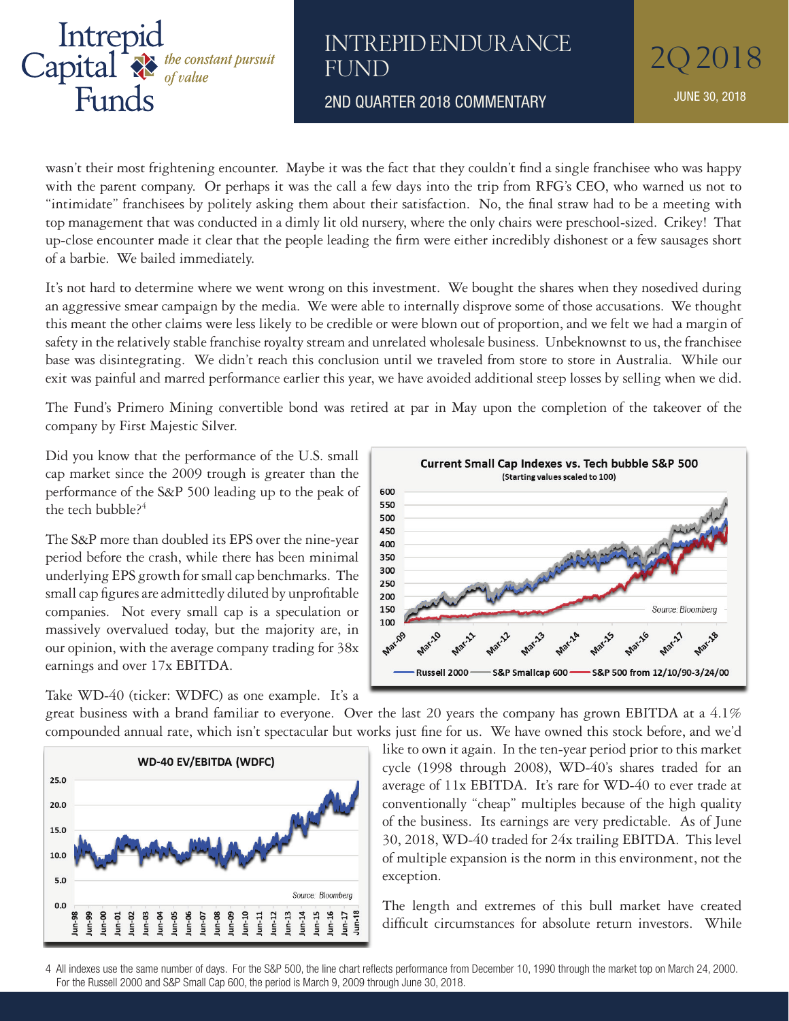

#### INTREPID ENDURANCE 202018 FUND

2ND QUARTER 2018 COMMENTARY JUNE 30, 2018

wasn't their most frightening encounter. Maybe it was the fact that they couldn't find a single franchisee who was happy with the parent company. Or perhaps it was the call a few days into the trip from RFG's CEO, who warned us not to "intimidate" franchisees by politely asking them about their satisfaction. No, the final straw had to be a meeting with top management that was conducted in a dimly lit old nursery, where the only chairs were preschool-sized. Crikey! That up-close encounter made it clear that the people leading the firm were either incredibly dishonest or a few sausages short of a barbie. We bailed immediately.

It's not hard to determine where we went wrong on this investment. We bought the shares when they nosedived during an aggressive smear campaign by the media. We were able to internally disprove some of those accusations. We thought this meant the other claims were less likely to be credible or were blown out of proportion, and we felt we had a margin of safety in the relatively stable franchise royalty stream and unrelated wholesale business. Unbeknownst to us, the franchisee base was disintegrating. We didn't reach this conclusion until we traveled from store to store in Australia. While our exit was painful and marred performance earlier this year, we have avoided additional steep losses by selling when we did.

The Fund's Primero Mining convertible bond was retired at par in May upon the completion of the takeover of the company by First Majestic Silver.

Did you know that the performance of the U.S. small cap market since the 2009 trough is greater than the performance of the S&P 500 leading up to the peak of the tech bubble?<sup>4</sup>

The S&P more than doubled its EPS over the nine-year period before the crash, while there has been minimal underlying EPS growth for small cap benchmarks. The small cap figures are admittedly diluted by unprofitable companies. Not every small cap is a speculation or  $\begin{bmatrix} 150 \\ 150 \end{bmatrix}$ massively overvalued today, but the majority are, in  $\begin{array}{c|c} \n\hline\n\end{array}$   $\begin{array}{ccc}\n\bullet & \bullet & \bullet \\
\bullet & \bullet & \bullet\n\end{array}$ our opinion, with the average company trading for 38x overvalued today, but the majority are, in our opinion, with the average company trading for 38x earnings and over 17x EBITDA. earnings and over 17x EBITDA.  $\frac{100}{200}$  companies. The small cap is a speculation of  $\frac{100}{200}$ 

Take WD-40 (ticker: WDFC) as one example. It's a

25.0 20.0 15.0 10.0 5.0

 $0.0$ 



**WD-40 EV/EBITDA (WDFC)** Source: Bloomberg  $Jun-12$ Jun-14 Jun-15 Jun-16  $J$ un-18 Jun-98 Jun-09 Jun-10  $Jun-17$ Jun-00 Jun-03 Jun-05 Jun-06 Jun-08  $J$ un- $11$ lun-99 Jun-04 Jun-07  $l$ un-13

like to own it again. In the ten-year period prior to this market cycle (1998 through 2008),  $WD-40's$  shares traded for an average of  $11x$  EBITDA. It's rare for WD-40 to ever trade at  $\mathbb{R}$  (tickering of the interface as a great business with a brand familiar to the second familiar to  $\mathbb{R}$  and  $\mathbb{R}$  conventionally "cheap" multiples because of the high quality  $\frac{dQ}{dt}$  of the business. Its earnings are very predictable. As of June  $\frac{dQ}{dt}$ 30, 2018, WD-40 traded for 24x trailing EBITDA. This level of multiple expansion is the norm in this environment, not the  $\frac{1}{2}$  exception. cycle  $(1998$  through  $200$  $\Box$  of the business. Its earnings are very predictable. As of June amment, not the  $\frac{1}{2}$  multiplicative of the higher  $\frac{1}{2}$ of multiple expansion is th ERCCPLION.

The length and extremes of this bull market have created difficult circumstances for absolute return investors. While The length and extremes of this bull market have created anneuit circums



<sup>4</sup> All indexes use the same number of days. For the S&P 500, the line chart reflects performance from December 10, 1990 through the market top on March 24, 2000. For the Russell 2000 and S&P Small Cap 600, the period is March 9, 2009 through June 30, 2018.  $\frac{1}{2}$  of mature  $\frac{1}{2}$  i,  $\frac{1}{2}$  of order multiple expansion is the The length and extremes of 4 All indexes use the same humber of days. For the S&P 500, the line chart reflects performance from December 10,